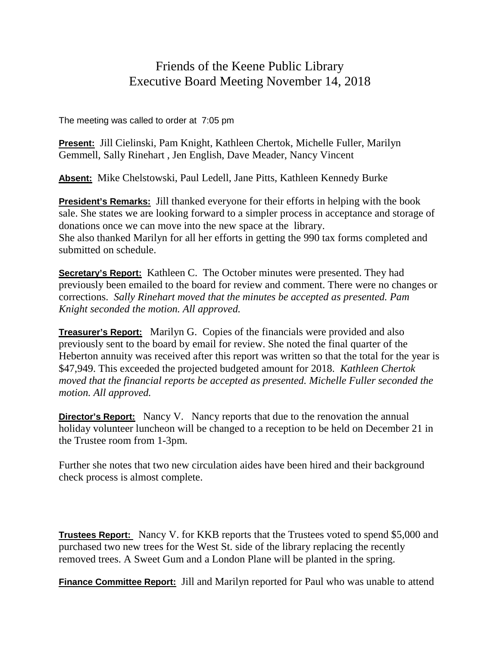## Friends of the Keene Public Library Executive Board Meeting November 14, 2018

The meeting was called to order at 7:05 pm

**Present:** Jill Cielinski, Pam Knight, Kathleen Chertok, Michelle Fuller, Marilyn Gemmell, Sally Rinehart , Jen English, Dave Meader, Nancy Vincent

**Absent:** Mike Chelstowski, Paul Ledell, Jane Pitts, Kathleen Kennedy Burke

**President's Remarks:** Jill thanked everyone for their efforts in helping with the book sale. She states we are looking forward to a simpler process in acceptance and storage of donations once we can move into the new space at the library. She also thanked Marilyn for all her efforts in getting the 990 tax forms completed and submitted on schedule.

**Secretary's Report:** Kathleen C. The October minutes were presented. They had previously been emailed to the board for review and comment. There were no changes or corrections. *Sally Rinehart moved that the minutes be accepted as presented. Pam Knight seconded the motion. All approved.*

**Treasurer's Report:** Marilyn G. Copies of the financials were provided and also previously sent to the board by email for review. She noted the final quarter of the Heberton annuity was received after this report was written so that the total for the year is \$47,949. This exceeded the projected budgeted amount for 2018. *Kathleen Chertok moved that the financial reports be accepted as presented. Michelle Fuller seconded the motion. All approved.*

**Director's Report:** Nancy V. Nancy reports that due to the renovation the annual holiday volunteer luncheon will be changed to a reception to be held on December 21 in the Trustee room from 1-3pm.

Further she notes that two new circulation aides have been hired and their background check process is almost complete.

**Trustees Report:** Nancy V. for KKB reports that the Trustees voted to spend \$5,000 and purchased two new trees for the West St. side of the library replacing the recently removed trees. A Sweet Gum and a London Plane will be planted in the spring.

**Finance Committee Report:** Jill and Marilyn reported for Paul who was unable to attend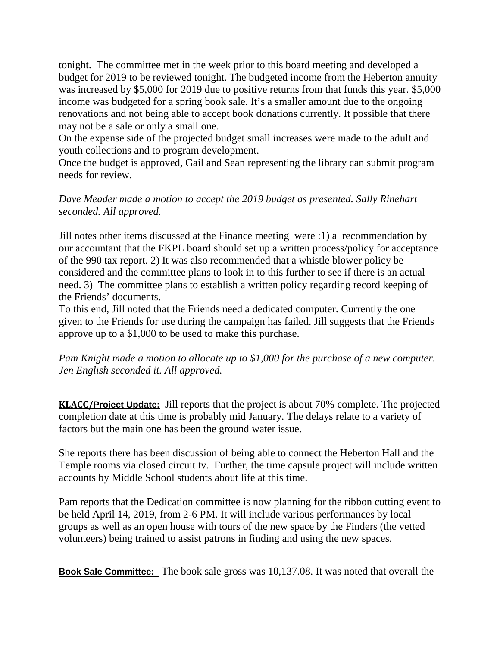tonight. The committee met in the week prior to this board meeting and developed a budget for 2019 to be reviewed tonight. The budgeted income from the Heberton annuity was increased by \$5,000 for 2019 due to positive returns from that funds this year. \$5,000 income was budgeted for a spring book sale. It's a smaller amount due to the ongoing renovations and not being able to accept book donations currently. It possible that there may not be a sale or only a small one.

On the expense side of the projected budget small increases were made to the adult and youth collections and to program development.

Once the budget is approved, Gail and Sean representing the library can submit program needs for review.

*Dave Meader made a motion to accept the 2019 budget as presented. Sally Rinehart seconded. All approved.*

Jill notes other items discussed at the Finance meeting were :1) a recommendation by our accountant that the FKPL board should set up a written process/policy for acceptance of the 990 tax report. 2) It was also recommended that a whistle blower policy be considered and the committee plans to look in to this further to see if there is an actual need. 3) The committee plans to establish a written policy regarding record keeping of the Friends' documents.

To this end, Jill noted that the Friends need a dedicated computer. Currently the one given to the Friends for use during the campaign has failed. Jill suggests that the Friends approve up to a \$1,000 to be used to make this purchase.

*Pam Knight made a motion to allocate up to \$1,000 for the purchase of a new computer. Jen English seconded it. All approved.*

**KLACC/Project Update:** Jill reports that the project is about 70% complete. The projected completion date at this time is probably mid January. The delays relate to a variety of factors but the main one has been the ground water issue.

She reports there has been discussion of being able to connect the Heberton Hall and the Temple rooms via closed circuit tv. Further, the time capsule project will include written accounts by Middle School students about life at this time.

Pam reports that the Dedication committee is now planning for the ribbon cutting event to be held April 14, 2019, from 2-6 PM. It will include various performances by local groups as well as an open house with tours of the new space by the Finders (the vetted volunteers) being trained to assist patrons in finding and using the new spaces.

**Book Sale Committee:** The book sale gross was 10,137.08. It was noted that overall the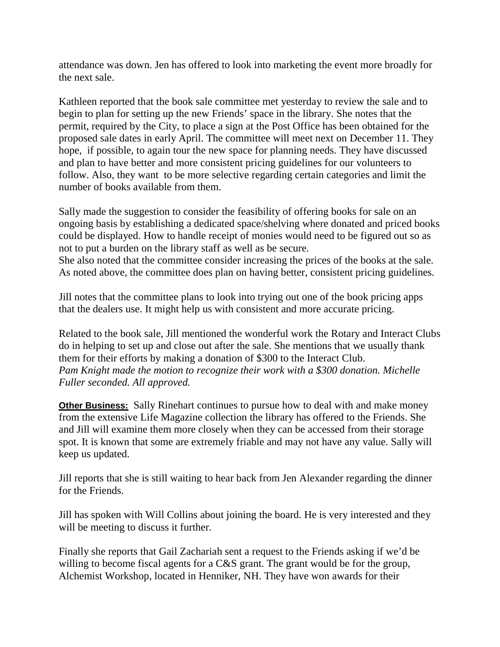attendance was down. Jen has offered to look into marketing the event more broadly for the next sale.

Kathleen reported that the book sale committee met yesterday to review the sale and to begin to plan for setting up the new Friends' space in the library. She notes that the permit, required by the City, to place a sign at the Post Office has been obtained for the proposed sale dates in early April. The committee will meet next on December 11. They hope, if possible, to again tour the new space for planning needs. They have discussed and plan to have better and more consistent pricing guidelines for our volunteers to follow. Also, they want to be more selective regarding certain categories and limit the number of books available from them.

Sally made the suggestion to consider the feasibility of offering books for sale on an ongoing basis by establishing a dedicated space/shelving where donated and priced books could be displayed. How to handle receipt of monies would need to be figured out so as not to put a burden on the library staff as well as be secure.

She also noted that the committee consider increasing the prices of the books at the sale. As noted above, the committee does plan on having better, consistent pricing guidelines.

Jill notes that the committee plans to look into trying out one of the book pricing apps that the dealers use. It might help us with consistent and more accurate pricing.

Related to the book sale, Jill mentioned the wonderful work the Rotary and Interact Clubs do in helping to set up and close out after the sale. She mentions that we usually thank them for their efforts by making a donation of \$300 to the Interact Club. *Pam Knight made the motion to recognize their work with a \$300 donation. Michelle Fuller seconded. All approved.*

**Other Business:** Sally Rinehart continues to pursue how to deal with and make money from the extensive Life Magazine collection the library has offered to the Friends. She and Jill will examine them more closely when they can be accessed from their storage spot. It is known that some are extremely friable and may not have any value. Sally will keep us updated.

Jill reports that she is still waiting to hear back from Jen Alexander regarding the dinner for the Friends.

Jill has spoken with Will Collins about joining the board. He is very interested and they will be meeting to discuss it further.

Finally she reports that Gail Zachariah sent a request to the Friends asking if we'd be willing to become fiscal agents for a C&S grant. The grant would be for the group, Alchemist Workshop, located in Henniker, NH. They have won awards for their